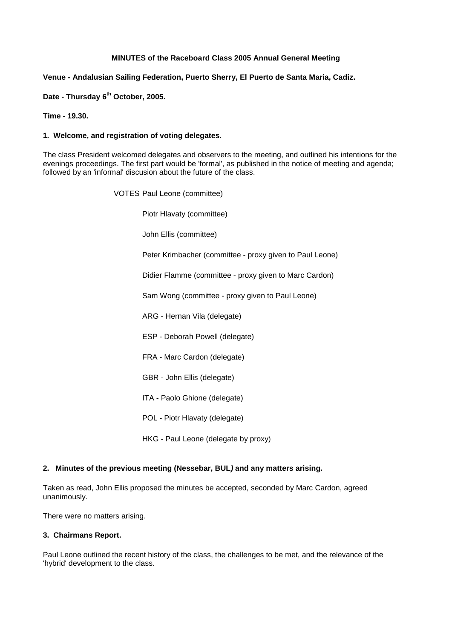# **MINUTES of the Raceboard Class 2005 Annual General Meeting**

# **Venue - Andalusian Sailing Federation, Puerto Sherry, El Puerto de Santa Maria, Cadiz.**

**Date - Thursday 6th October, 2005.**

### **Time - 19.30.**

### **1. Welcome, and registration of voting delegates.**

The class President welcomed delegates and observers to the meeting, and outlined his intentions for the evenings proceedings. The first part would be 'formal', as published in the notice of meeting and agenda; followed by an 'informal' discusion about the future of the class.

> VOTES Paul Leone (committee) Piotr Hlavaty (committee) John Ellis (committee) Peter Krimbacher (committee - proxy given to Paul Leone) Didier Flamme (committee - proxy given to Marc Cardon) Sam Wong (committee - proxy given to Paul Leone) ARG - Hernan Vila (delegate) ESP - Deborah Powell (delegate) FRA - Marc Cardon (delegate) GBR - John Ellis (delegate) ITA - Paolo Ghione (delegate) POL - Piotr Hlavaty (delegate)

> > HKG - Paul Leone (delegate by proxy)

### **2. Minutes of the previous meeting (Nessebar, BUL***)* **and any matters arising.**

Taken as read, John Ellis proposed the minutes be accepted, seconded by Marc Cardon, agreed unanimously.

There were no matters arising.

# **3. Chairmans Report.**

Paul Leone outlined the recent history of the class, the challenges to be met, and the relevance of the 'hybrid' development to the class.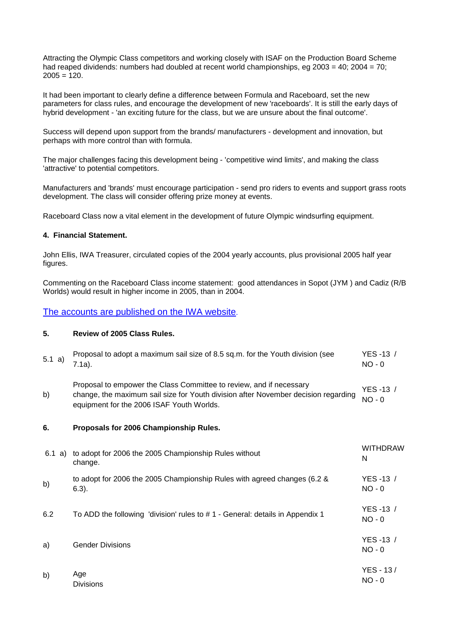Attracting the Olympic Class competitors and working closely with ISAF on the Production Board Scheme had reaped dividends: numbers had doubled at recent world championships, eg 2003 = 40; 2004 = 70;  $2005 = 120$ .

It had been important to clearly define a difference between Formula and Raceboard, set the new parameters for class rules, and encourage the development of new 'raceboards'. It is still the early days of hybrid development - 'an exciting future for the class, but we are unsure about the final outcome'.

Success will depend upon support from the brands/ manufacturers - development and innovation, but perhaps with more control than with formula.

The major challenges facing this development being - 'competitive wind limits', and making the class 'attractive' to potential competitors.

Manufacturers and 'brands' must encourage participation - send pro riders to events and support grass roots development. The class will consider offering prize money at events.

Raceboard Class now a vital element in the development of future Olympic windsurfing equipment.

#### **4. Financial Statement.**

John Ellis, IWA Treasurer, circulated copies of the 2004 yearly accounts, plus provisional 2005 half year figures.

Commenting on the Raceboard Class income statement: good attendances in Sopot (JYM ) and Cadiz (R/B Worlds) would result in higher income in 2005, than in 2004.

[The accounts are published on the IWA website.](http://www.internationalwindsurfing.com/files/usercontent/pages/04_Statutory_acs.pdf?menu=438&parent=272&grandparent=2)

## **5. Review of 2005 Class Rules.**

| 5.1 a) | Proposal to adopt a maximum sail size of 8.5 sq.m. for the Youth division (see<br>$7.1a$ ).                                                                                                            | YES-13 /<br>$NO - 0$  |
|--------|--------------------------------------------------------------------------------------------------------------------------------------------------------------------------------------------------------|-----------------------|
| b)     | Proposal to empower the Class Committee to review, and if necessary<br>change, the maximum sail size for Youth division after November decision regarding<br>equipment for the 2006 ISAF Youth Worlds. | YES -13 /<br>$NO - 0$ |
| 6.     | Proposals for 2006 Championship Rules.                                                                                                                                                                 |                       |
| 6.1 a) | to adopt for 2006 the 2005 Championship Rules without<br>change.                                                                                                                                       | <b>WITHDRAW</b><br>N  |
| b)     | to adopt for 2006 the 2005 Championship Rules with agreed changes (6.2 &<br>$6.3$ ).                                                                                                                   | YES -13 /<br>$NO - 0$ |
| 6.2    | To ADD the following 'division' rules to #1 - General: details in Appendix 1                                                                                                                           | YES -13 /<br>$NO - 0$ |
| a)     | <b>Gender Divisions</b>                                                                                                                                                                                | YES -13 /<br>$NO - 0$ |

|    | Age              |          | $YES - 13$ |
|----|------------------|----------|------------|
| b) |                  | $NO - 0$ |            |
|    | <b>Divisions</b> |          |            |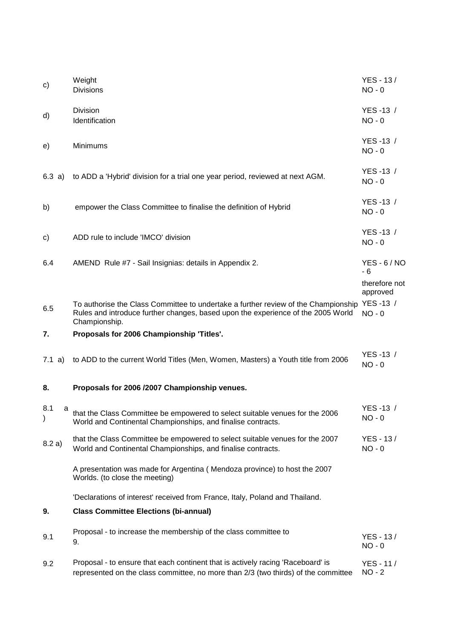| C)                        | Weight<br><b>Divisions</b>                                                                                                                                             | YES - 13/<br>$NO - 0$                             |
|---------------------------|------------------------------------------------------------------------------------------------------------------------------------------------------------------------|---------------------------------------------------|
| d)                        | <b>Division</b><br>Identification                                                                                                                                      | YES-13 /<br>$NO - 0$                              |
| e)                        | Minimums                                                                                                                                                               | YES -13 /<br>$NO - 0$                             |
| 6.3 a)                    | to ADD a 'Hybrid' division for a trial one year period, reviewed at next AGM.                                                                                          | YES -13 /<br>$NO - 0$                             |
| b)                        | empower the Class Committee to finalise the definition of Hybrid                                                                                                       | YES-13 /<br>$NO - 0$                              |
| C)                        | ADD rule to include 'IMCO' division                                                                                                                                    | YES-13 /<br>$NO - 0$                              |
| 6.4                       | AMEND Rule #7 - Sail Insignias: details in Appendix 2.                                                                                                                 | $YES - 6/NO$<br>- 6                               |
| 6.5                       | To authorise the Class Committee to undertake a further review of the Championship<br>Rules and introduce further changes, based upon the experience of the 2005 World | therefore not<br>approved<br>YES-13 /<br>$NO - 0$ |
|                           | Championship.                                                                                                                                                          |                                                   |
| 7.                        | Proposals for 2006 Championship 'Titles'.                                                                                                                              |                                                   |
| 7.1 a)                    | to ADD to the current World Titles (Men, Women, Masters) a Youth title from 2006                                                                                       | YES -13 /<br>$NO - 0$                             |
| 8.                        | Proposals for 2006 /2007 Championship venues.                                                                                                                          |                                                   |
| 8.1<br>a<br>$\mathcal{C}$ | that the Class Committee be empowered to select suitable venues for the 2006<br>World and Continental Championships, and finalise contracts.                           | YES-13 /<br>$NO - 0$                              |
| 8.2 a)                    | that the Class Committee be empowered to select suitable venues for the 2007<br>World and Continental Championships, and finalise contracts.                           | YES - 13/<br>$NO - 0$                             |
|                           | A presentation was made for Argentina (Mendoza province) to host the 2007<br>Worlds. (to close the meeting)                                                            |                                                   |
|                           | 'Declarations of interest' received from France, Italy, Poland and Thailand.                                                                                           |                                                   |
| 9.                        | <b>Class Committee Elections (bi-annual)</b>                                                                                                                           |                                                   |
| 9.1                       | Proposal - to increase the membership of the class committee to<br>9.                                                                                                  | YES - 13/<br>$NO - 0$                             |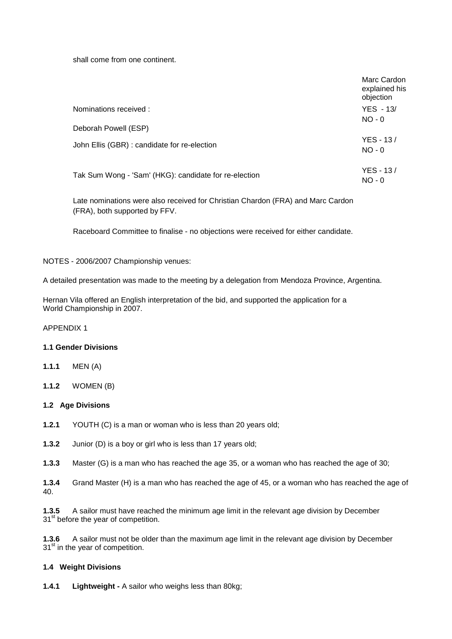shall come from one continent.

|                                                       | Marc Cardon<br>explained his<br>objection |
|-------------------------------------------------------|-------------------------------------------|
| Nominations received:                                 | $YES - 13/$                               |
| Deborah Powell (ESP)                                  | $NO - 0$                                  |
| John Ellis (GBR) : candidate for re-election          | YES - 13/<br>$NO - 0$                     |
| Tak Sum Wong - 'Sam' (HKG): candidate for re-election | YES - 13/<br>$NO - 0$                     |

Late nominations were also received for Christian Chardon (FRA) and Marc Cardon (FRA), both supported by FFV.

Raceboard Committee to finalise - no objections were received for either candidate.

NOTES - 2006/2007 Championship venues:

A detailed presentation was made to the meeting by a delegation from Mendoza Province, Argentina.

Hernan Vila offered an English interpretation of the bid, and supported the application for a World Championship in 2007.

# APPENDIX 1

#### **1.1 Gender Divisions**

- **1.1.1** MEN (A)
- **1.1.2** WOMEN (B)

# **1.2 Age Divisions**

- **1.2.1** YOUTH (C) is a man or woman who is less than 20 years old;
- **1.3.2** Junior (D) is a boy or girl who is less than 17 years old;
- **1.3.3** Master (G) is a man who has reached the age 35, or a woman who has reached the age of 30;

**1.3.4** Grand Master (H) is a man who has reached the age of 45, or a woman who has reached the age of 40.

**1.3.5** A sailor must have reached the minimum age limit in the relevant age division by December 31<sup>st</sup> before the year of competition.

**1.3.6** A sailor must not be older than the maximum age limit in the relevant age division by December 31<sup>st</sup> in the year of competition.

# **1.4 Weight Divisions**

**1.4.1 Lightweight -** A sailor who weighs less than 80kg;